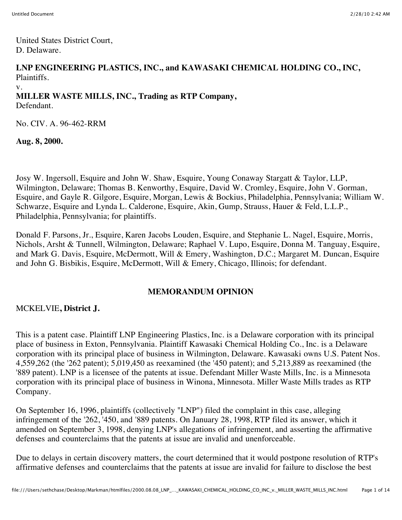United States District Court, D. Delaware.

#### **LNP ENGINEERING PLASTICS, INC., and KAWASAKI CHEMICAL HOLDING CO., INC,** Plaintiffs.

v.

# **MILLER WASTE MILLS, INC., Trading as RTP Company,**

Defendant.

No. CIV. A. 96-462-RRM

**Aug. 8, 2000.**

Josy W. Ingersoll, Esquire and John W. Shaw, Esquire, Young Conaway Stargatt & Taylor, LLP, Wilmington, Delaware; Thomas B. Kenworthy, Esquire, David W. Cromley, Esquire, John V. Gorman, Esquire, and Gayle R. Gilgore, Esquire, Morgan, Lewis & Bockius, Philadelphia, Pennsylvania; William W. Schwarze, Esquire and Lynda L. Calderone, Esquire, Akin, Gump, Strauss, Hauer & Feld, L.L.P., Philadelphia, Pennsylvania; for plaintiffs.

Donald F. Parsons, Jr., Esquire, Karen Jacobs Louden, Esquire, and Stephanie L. Nagel, Esquire, Morris, Nichols, Arsht & Tunnell, Wilmington, Delaware; Raphael V. Lupo, Esquire, Donna M. Tanguay, Esquire, and Mark G. Davis, Esquire, McDermott, Will & Emery, Washington, D.C.; Margaret M. Duncan, Esquire and John G. Bisbikis, Esquire, McDermott, Will & Emery, Chicago, Illinois; for defendant.

## **MEMORANDUM OPINION**

#### MCKELVIE**, District J.**

This is a patent case. Plaintiff LNP Engineering Plastics, Inc. is a Delaware corporation with its principal place of business in Exton, Pennsylvania. Plaintiff Kawasaki Chemical Holding Co., Inc. is a Delaware corporation with its principal place of business in Wilmington, Delaware. Kawasaki owns U.S. Patent Nos. 4,559,262 (the '262 patent); 5,019,450 as reexamined (the '450 patent); and 5,213,889 as reexamined (the '889 patent). LNP is a licensee of the patents at issue. Defendant Miller Waste Mills, Inc. is a Minnesota corporation with its principal place of business in Winona, Minnesota. Miller Waste Mills trades as RTP Company.

On September 16, 1996, plaintiffs (collectively "LNP") filed the complaint in this case, alleging infringement of the '262, '450, and '889 patents. On January 28, 1998, RTP filed its answer, which it amended on September 3, 1998, denying LNP's allegations of infringement, and asserting the affirmative defenses and counterclaims that the patents at issue are invalid and unenforceable.

Due to delays in certain discovery matters, the court determined that it would postpone resolution of RTP's affirmative defenses and counterclaims that the patents at issue are invalid for failure to disclose the best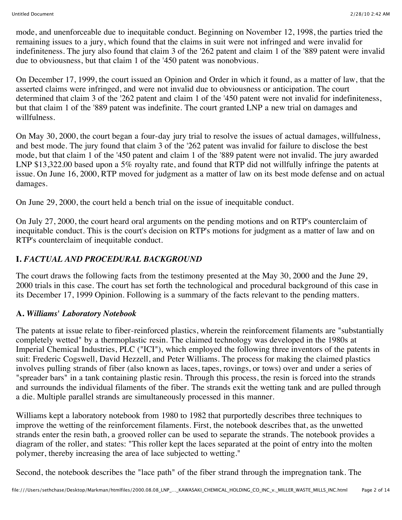mode, and unenforceable due to inequitable conduct. Beginning on November 12, 1998, the parties tried the remaining issues to a jury, which found that the claims in suit were not infringed and were invalid for indefiniteness. The jury also found that claim 3 of the '262 patent and claim 1 of the '889 patent were invalid due to obviousness, but that claim 1 of the '450 patent was nonobvious.

On December 17, 1999, the court issued an Opinion and Order in which it found, as a matter of law, that the asserted claims were infringed, and were not invalid due to obviousness or anticipation. The court determined that claim 3 of the '262 patent and claim 1 of the '450 patent were not invalid for indefiniteness, but that claim 1 of the '889 patent was indefinite. The court granted LNP a new trial on damages and willfulness.

On May 30, 2000, the court began a four-day jury trial to resolve the issues of actual damages, willfulness, and best mode. The jury found that claim 3 of the '262 patent was invalid for failure to disclose the best mode, but that claim 1 of the '450 patent and claim 1 of the '889 patent were not invalid. The jury awarded LNP \$13,322.00 based upon a 5% royalty rate, and found that RTP did not willfully infringe the patents at issue. On June 16, 2000, RTP moved for judgment as a matter of law on its best mode defense and on actual damages.

On June 29, 2000, the court held a bench trial on the issue of inequitable conduct.

On July 27, 2000, the court heard oral arguments on the pending motions and on RTP's counterclaim of inequitable conduct. This is the court's decision on RTP's motions for judgment as a matter of law and on RTP's counterclaim of inequitable conduct.

# **I.** *FACTUAL AND PROCEDURAL BACKGROUND*

The court draws the following facts from the testimony presented at the May 30, 2000 and the June 29, 2000 trials in this case. The court has set forth the technological and procedural background of this case in its December 17, 1999 Opinion. Following is a summary of the facts relevant to the pending matters.

## **A.** *Williams' Laboratory Notebook*

The patents at issue relate to fiber-reinforced plastics, wherein the reinforcement filaments are "substantially completely wetted" by a thermoplastic resin. The claimed technology was developed in the 1980s at Imperial Chemical Industries, PLC ("ICI"), which employed the following three inventors of the patents in suit: Frederic Cogswell, David Hezzell, and Peter Williams. The process for making the claimed plastics involves pulling strands of fiber (also known as laces, tapes, rovings, or tows) over and under a series of "spreader bars" in a tank containing plastic resin. Through this process, the resin is forced into the strands and surrounds the individual filaments of the fiber. The strands exit the wetting tank and are pulled through a die. Multiple parallel strands are simultaneously processed in this manner.

Williams kept a laboratory notebook from 1980 to 1982 that purportedly describes three techniques to improve the wetting of the reinforcement filaments. First, the notebook describes that, as the unwetted strands enter the resin bath, a grooved roller can be used to separate the strands. The notebook provides a diagram of the roller, and states: "This roller kept the laces separated at the point of entry into the molten polymer, thereby increasing the area of lace subjected to wetting."

Second, the notebook describes the "lace path" of the fiber strand through the impregnation tank. The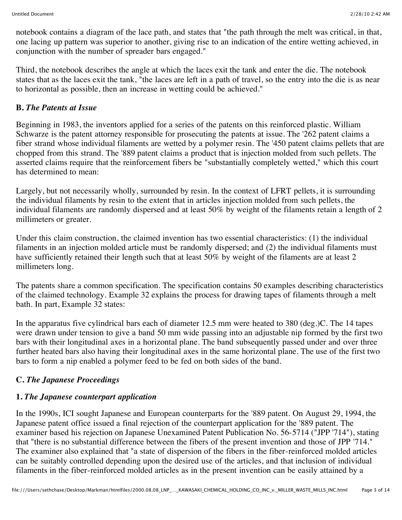notebook contains a diagram of the lace path, and states that "the path through the melt was critical, in that, one lacing up pattern was superior to another, giving rise to an indication of the entire wetting achieved, in conjunction with the number of spreader bars engaged."

Third, the notebook describes the angle at which the laces exit the tank and enter the die. The notebook states that as the laces exit the tank, "the laces are left in a path of travel, so the entry into the die is as near to horizontal as possible, then an increase in wetting could be achieved."

## **B.** *The Patents at Issue*

Beginning in 1983, the inventors applied for a series of the patents on this reinforced plastic. William Schwarze is the patent attorney responsible for prosecuting the patents at issue. The '262 patent claims a fiber strand whose individual filaments are wetted by a polymer resin. The '450 patent claims pellets that are chopped from this strand. The '889 patent claims a product that is injection molded from such pellets. The asserted claims require that the reinforcement fibers be "substantially completely wetted," which this court has determined to mean:

Largely, but not necessarily wholly, surrounded by resin. In the context of LFRT pellets, it is surrounding the individual filaments by resin to the extent that in articles injection molded from such pellets, the individual filaments are randomly dispersed and at least 50% by weight of the filaments retain a length of 2 millimeters or greater.

Under this claim construction, the claimed invention has two essential characteristics: (1) the individual filaments in an injection molded article must be randomly dispersed; and (2) the individual filaments must have sufficiently retained their length such that at least 50% by weight of the filaments are at least 2 millimeters long.

The patents share a common specification. The specification contains 50 examples describing characteristics of the claimed technology. Example 32 explains the process for drawing tapes of filaments through a melt bath. In part, Example 32 states:

In the apparatus five cylindrical bars each of diameter 12.5 mm were heated to 380 (deg.)C. The 14 tapes were drawn under tension to give a band 50 mm wide passing into an adjustable nip formed by the first two bars with their longitudinal axes in a horizontal plane. The band subsequently passed under and over three further heated bars also having their longitudinal axes in the same horizontal plane. The use of the first two bars to form a nip enabled a polymer feed to be fed on both sides of the band.

# **C.** *The Japanese Proceedings*

# **1.** *The Japanese counterpart application*

In the 1990s, ICI sought Japanese and European counterparts for the '889 patent. On August 29, 1994, the Japanese patent office issued a final rejection of the counterpart application for the '889 patent. The examiner based his rejection on Japanese Unexamined Patent Publication No. 56-5714 ("JPP '714"), stating that "there is no substantial difference between the fibers of the present invention and those of JPP '714." The examiner also explained that "a state of dispersion of the fibers in the fiber-reinforced molded articles can be suitably controlled depending upon the desired use of the articles, and that inclusion of individual filaments in the fiber-reinforced molded articles as in the present invention can be easily attained by a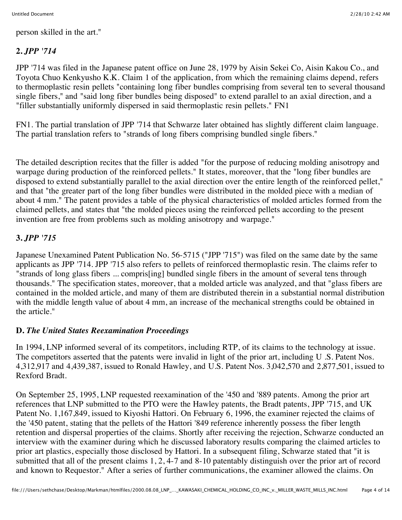person skilled in the art."

## **2.** *JPP '714*

JPP '714 was filed in the Japanese patent office on June 28, 1979 by Aisin Sekei Co, Aisin Kakou Co., and Toyota Chuo Kenkyusho K.K. Claim 1 of the application, from which the remaining claims depend, refers to thermoplastic resin pellets "containing long fiber bundles comprising from several ten to several thousand single fibers," and "said long fiber bundles being disposed" to extend parallel to an axial direction, and a "filler substantially uniformly dispersed in said thermoplastic resin pellets." FN1

FN1. The partial translation of JPP '714 that Schwarze later obtained has slightly different claim language. The partial translation refers to "strands of long fibers comprising bundled single fibers."

The detailed description recites that the filler is added "for the purpose of reducing molding anisotropy and warpage during production of the reinforced pellets." It states, moreover, that the "long fiber bundles are disposed to extend substantially parallel to the axial direction over the entire length of the reinforced pellet," and that "the greater part of the long fiber bundles were distributed in the molded piece with a median of about 4 mm." The patent provides a table of the physical characteristics of molded articles formed from the claimed pellets, and states that "the molded pieces using the reinforced pellets according to the present invention are free from problems such as molding anisotropy and warpage."

## **3.** *JPP '715*

Japanese Unexamined Patent Publication No. 56-5715 ("JPP '715") was filed on the same date by the same applicants as JPP '714. JPP '715 also refers to pellets of reinforced thermoplastic resin. The claims refer to "strands of long glass fibers ... compris[ing] bundled single fibers in the amount of several tens through thousands." The specification states, moreover, that a molded article was analyzed, and that "glass fibers are contained in the molded article, and many of them are distributed therein in a substantial normal distribution with the middle length value of about 4 mm, an increase of the mechanical strengths could be obtained in the article."

#### **D.** *The United States Reexamination Proceedings*

In 1994, LNP informed several of its competitors, including RTP, of its claims to the technology at issue. The competitors asserted that the patents were invalid in light of the prior art, including U .S. Patent Nos. 4,312,917 and 4,439,387, issued to Ronald Hawley, and U.S. Patent Nos. 3,042,570 and 2,877,501, issued to Rexford Bradt.

On September 25, 1995, LNP requested reexamination of the '450 and '889 patents. Among the prior art references that LNP submitted to the PTO were the Hawley patents, the Bradt patents, JPP '715, and UK Patent No. 1,167,849, issued to Kiyoshi Hattori. On February 6, 1996, the examiner rejected the claims of the '450 patent, stating that the pellets of the Hattori '849 reference inherently possess the fiber length retention and dispersal properties of the claims. Shortly after receiving the rejection, Schwarze conducted an interview with the examiner during which he discussed laboratory results comparing the claimed articles to prior art plastics, especially those disclosed by Hattori. In a subsequent filing, Schwarze stated that "it is submitted that all of the present claims 1, 2, 4-7 and 8-10 patentably distinguish over the prior art of record and known to Requestor." After a series of further communications, the examiner allowed the claims. On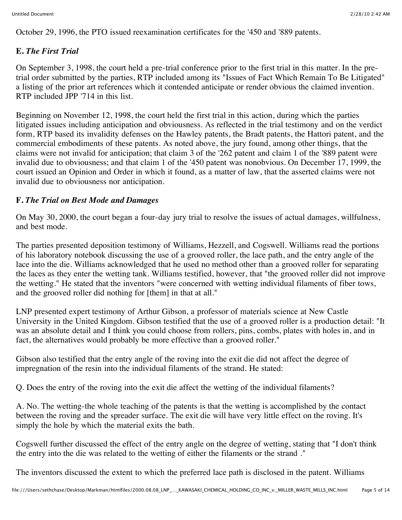October 29, 1996, the PTO issued reexamination certificates for the '450 and '889 patents.

## **E.** *The First Trial*

On September 3, 1998, the court held a pre-trial conference prior to the first trial in this matter. In the pretrial order submitted by the parties, RTP included among its "Issues of Fact Which Remain To Be Litigated" a listing of the prior art references which it contended anticipate or render obvious the claimed invention. RTP included JPP '714 in this list.

Beginning on November 12, 1998, the court held the first trial in this action, during which the parties litigated issues including anticipation and obviousness. As reflected in the trial testimony and on the verdict form, RTP based its invalidity defenses on the Hawley patents, the Bradt patents, the Hattori patent, and the commercial embodiments of these patents. As noted above, the jury found, among other things, that the claims were not invalid for anticipation; that claim 3 of the '262 patent and claim 1 of the '889 patent were invalid due to obviousness; and that claim 1 of the '450 patent was nonobvious. On December 17, 1999, the court issued an Opinion and Order in which it found, as a matter of law, that the asserted claims were not invalid due to obviousness nor anticipation.

## **F.** *The Trial on Best Mode and Damages*

On May 30, 2000, the court began a four-day jury trial to resolve the issues of actual damages, willfulness, and best mode.

The parties presented deposition testimony of Williams, Hezzell, and Cogswell. Williams read the portions of his laboratory notebook discussing the use of a grooved roller, the lace path, and the entry angle of the lace into the die. Williams acknowledged that he used no method other than a grooved roller for separating the laces as they enter the wetting tank. Williams testified, however, that "the grooved roller did not improve the wetting." He stated that the inventors "were concerned with wetting individual filaments of fiber tows, and the grooved roller did nothing for [them] in that at all."

LNP presented expert testimony of Arthur Gibson, a professor of materials science at New Castle University in the United Kingdom. Gibson testified that the use of a grooved roller is a production detail: "It was an absolute detail and I think you could choose from rollers, pins, combs, plates with holes in, and in fact, the alternatives would probably be more effective than a grooved roller."

Gibson also testified that the entry angle of the roving into the exit die did not affect the degree of impregnation of the resin into the individual filaments of the strand. He stated:

Q. Does the entry of the roving into the exit die affect the wetting of the individual filaments?

A. No. The wetting-the whole teaching of the patents is that the wetting is accomplished by the contact between the roving and the spreader surface. The exit die will have very little effect on the roving. It's simply the hole by which the material exits the bath.

Cogswell further discussed the effect of the entry angle on the degree of wetting, stating that "I don't think the entry into the die was related to the wetting of either the filaments or the strand ."

The inventors discussed the extent to which the preferred lace path is disclosed in the patent. Williams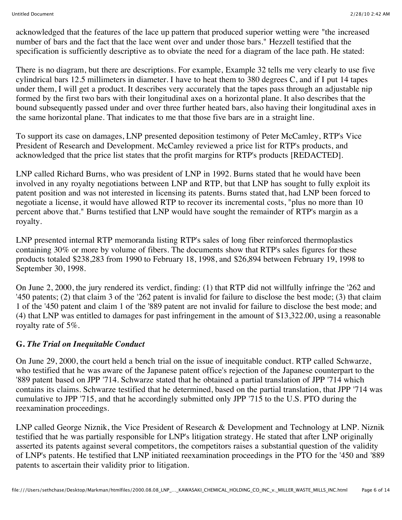acknowledged that the features of the lace up pattern that produced superior wetting were "the increased number of bars and the fact that the lace went over and under those bars." Hezzell testified that the specification is sufficiently descriptive as to obviate the need for a diagram of the lace path. He stated:

There is no diagram, but there are descriptions. For example, Example 32 tells me very clearly to use five cylindrical bars 12.5 millimeters in diameter. I have to heat them to 380 degrees C, and if I put 14 tapes under them, I will get a product. It describes very accurately that the tapes pass through an adjustable nip formed by the first two bars with their longitudinal axes on a horizontal plane. It also describes that the bound subsequently passed under and over three further heated bars, also having their longitudinal axes in the same horizontal plane. That indicates to me that those five bars are in a straight line.

To support its case on damages, LNP presented deposition testimony of Peter McCamley, RTP's Vice President of Research and Development. McCamley reviewed a price list for RTP's products, and acknowledged that the price list states that the profit margins for RTP's products [REDACTED].

LNP called Richard Burns, who was president of LNP in 1992. Burns stated that he would have been involved in any royalty negotiations between LNP and RTP, but that LNP has sought to fully exploit its patent position and was not interested in licensing its patents. Burns stated that, had LNP been forced to negotiate a license, it would have allowed RTP to recover its incremental costs, "plus no more than 10 percent above that." Burns testified that LNP would have sought the remainder of RTP's margin as a royalty.

LNP presented internal RTP memoranda listing RTP's sales of long fiber reinforced thermoplastics containing 30% or more by volume of fibers. The documents show that RTP's sales figures for these products totaled \$238,283 from 1990 to February 18, 1998, and \$26,894 between February 19, 1998 to September 30, 1998.

On June 2, 2000, the jury rendered its verdict, finding: (1) that RTP did not willfully infringe the '262 and '450 patents; (2) that claim 3 of the '262 patent is invalid for failure to disclose the best mode; (3) that claim 1 of the '450 patent and claim 1 of the '889 patent are not invalid for failure to disclose the best mode; and (4) that LNP was entitled to damages for past infringement in the amount of \$13,322.00, using a reasonable royalty rate of 5%.

#### **G.** *The Trial on Inequitable Conduct*

On June 29, 2000, the court held a bench trial on the issue of inequitable conduct. RTP called Schwarze, who testified that he was aware of the Japanese patent office's rejection of the Japanese counterpart to the '889 patent based on JPP '714. Schwarze stated that he obtained a partial translation of JPP '714 which contains its claims. Schwarze testified that he determined, based on the partial translation, that JPP '714 was cumulative to JPP '715, and that he accordingly submitted only JPP '715 to the U.S. PTO during the reexamination proceedings.

LNP called George Niznik, the Vice President of Research & Development and Technology at LNP. Niznik testified that he was partially responsible for LNP's litigation strategy. He stated that after LNP originally asserted its patents against several competitors, the competitors raises a substantial question of the validity of LNP's patents. He testified that LNP initiated reexamination proceedings in the PTO for the '450 and '889 patents to ascertain their validity prior to litigation.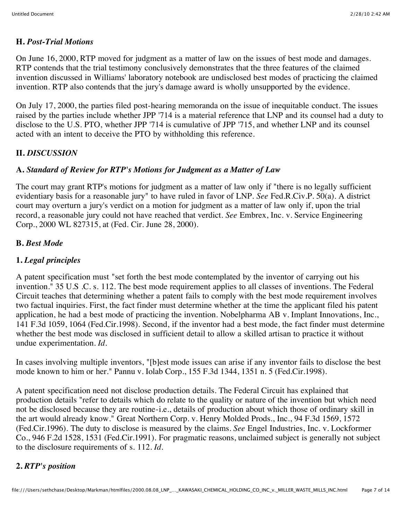#### **H.** *Post-Trial Motions*

On June 16, 2000, RTP moved for judgment as a matter of law on the issues of best mode and damages. RTP contends that the trial testimony conclusively demonstrates that the three features of the claimed invention discussed in Williams' laboratory notebook are undisclosed best modes of practicing the claimed invention. RTP also contends that the jury's damage award is wholly unsupported by the evidence.

On July 17, 2000, the parties filed post-hearing memoranda on the issue of inequitable conduct. The issues raised by the parties include whether JPP '714 is a material reference that LNP and its counsel had a duty to disclose to the U.S. PTO, whether JPP '714 is cumulative of JPP '715, and whether LNP and its counsel acted with an intent to deceive the PTO by withholding this reference.

## **II.** *DISCUSSION*

## **A.** *Standard of Review for RTP's Motions for Judgment as a Matter of Law*

The court may grant RTP's motions for judgment as a matter of law only if "there is no legally sufficient evidentiary basis for a reasonable jury" to have ruled in favor of LNP. *See* Fed.R.Civ.P. 50(a). A district court may overturn a jury's verdict on a motion for judgment as a matter of law only if, upon the trial record, a reasonable jury could not have reached that verdict. *See* Embrex, Inc. v. Service Engineering Corp., 2000 WL 827315, at (Fed. Cir. June 28, 2000).

## **B.** *Best Mode*

## **1.** *Legal principles*

A patent specification must "set forth the best mode contemplated by the inventor of carrying out his invention." 35 U.S .C. s. 112. The best mode requirement applies to all classes of inventions. The Federal Circuit teaches that determining whether a patent fails to comply with the best mode requirement involves two factual inquiries. First, the fact finder must determine whether at the time the applicant filed his patent application, he had a best mode of practicing the invention. Nobelpharma AB v. Implant Innovations, Inc., 141 F.3d 1059, 1064 (Fed.Cir.1998). Second, if the inventor had a best mode, the fact finder must determine whether the best mode was disclosed in sufficient detail to allow a skilled artisan to practice it without undue experimentation. *Id.*

In cases involving multiple inventors, "[b]est mode issues can arise if any inventor fails to disclose the best mode known to him or her." Pannu v. Iolab Corp., 155 F.3d 1344, 1351 n. 5 (Fed.Cir.1998).

A patent specification need not disclose production details. The Federal Circuit has explained that production details "refer to details which do relate to the quality or nature of the invention but which need not be disclosed because they are routine-i.e., details of production about which those of ordinary skill in the art would already know." Great Northern Corp. v. Henry Molded Prods., Inc., 94 F.3d 1569, 1572 (Fed.Cir.1996). The duty to disclose is measured by the claims. *See* Engel Industries, Inc. v. Lockformer Co., 946 F.2d 1528, 1531 (Fed.Cir.1991). For pragmatic reasons, unclaimed subject is generally not subject to the disclosure requirements of s. 112. *Id.*

# **2.** *RTP's position*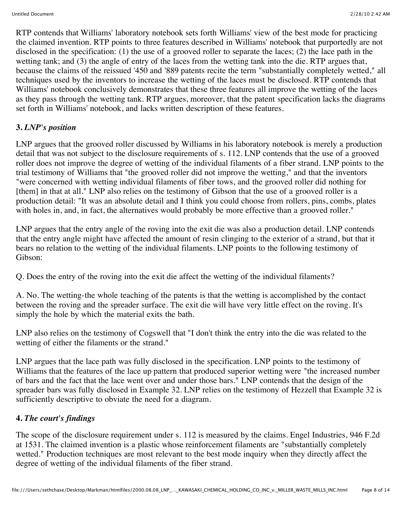RTP contends that Williams' laboratory notebook sets forth Williams' view of the best mode for practicing the claimed invention. RTP points to three features described in Williams' notebook that purportedly are not disclosed in the specification: (1) the use of a grooved roller to separate the laces; (2) the lace path in the wetting tank; and (3) the angle of entry of the laces from the wetting tank into the die. RTP argues that, because the claims of the reissued '450 and '889 patents recite the term "substantially completely wetted," all techniques used by the inventors to increase the wetting of the laces must be disclosed. RTP contends that Williams' notebook conclusively demonstrates that these three features all improve the wetting of the laces as they pass through the wetting tank. RTP argues, moreover, that the patent specification lacks the diagrams set forth in Williams' notebook, and lacks written description of these features.

## **3.** *LNP's position*

LNP argues that the grooved roller discussed by Williams in his laboratory notebook is merely a production detail that was not subject to the disclosure requirements of s. 112. LNP contends that the use of a grooved roller does not improve the degree of wetting of the individual filaments of a fiber strand. LNP points to the trial testimony of Williams that "the grooved roller did not improve the wetting," and that the inventors "were concerned with wetting individual filaments of fiber tows, and the grooved roller did nothing for [them] in that at all." LNP also relies on the testimony of Gibson that the use of a grooved roller is a production detail: "It was an absolute detail and I think you could choose from rollers, pins, combs, plates with holes in, and, in fact, the alternatives would probably be more effective than a grooved roller."

LNP argues that the entry angle of the roving into the exit die was also a production detail. LNP contends that the entry angle might have affected the amount of resin clinging to the exterior of a strand, but that it bears no relation to the wetting of the individual filaments. LNP points to the following testimony of Gibson:

Q. Does the entry of the roving into the exit die affect the wetting of the individual filaments?

A. No. The wetting-the whole teaching of the patents is that the wetting is accomplished by the contact between the roving and the spreader surface. The exit die will have very little effect on the roving. It's simply the hole by which the material exits the bath.

LNP also relies on the testimony of Cogswell that "I don't think the entry into the die was related to the wetting of either the filaments or the strand."

LNP argues that the lace path was fully disclosed in the specification. LNP points to the testimony of Williams that the features of the lace up pattern that produced superior wetting were "the increased number of bars and the fact that the lace went over and under those bars." LNP contends that the design of the spreader bars was fully disclosed in Example 32. LNP relies on the testimony of Hezzell that Example 32 is sufficiently descriptive to obviate the need for a diagram.

## **4.** *The court's findings*

The scope of the disclosure requirement under s. 112 is measured by the claims. Engel Industries, 946 F.2d at 1531. The claimed invention is a plastic whose reinforcement filaments are "substantially completely wetted." Production techniques are most relevant to the best mode inquiry when they directly affect the degree of wetting of the individual filaments of the fiber strand.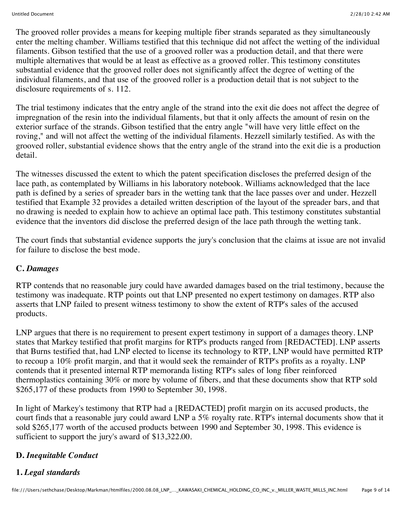The grooved roller provides a means for keeping multiple fiber strands separated as they simultaneously enter the melting chamber. Williams testified that this technique did not affect the wetting of the individual filaments. Gibson testified that the use of a grooved roller was a production detail, and that there were multiple alternatives that would be at least as effective as a grooved roller. This testimony constitutes substantial evidence that the grooved roller does not significantly affect the degree of wetting of the individual filaments, and that use of the grooved roller is a production detail that is not subject to the disclosure requirements of s. 112.

The trial testimony indicates that the entry angle of the strand into the exit die does not affect the degree of impregnation of the resin into the individual filaments, but that it only affects the amount of resin on the exterior surface of the strands. Gibson testified that the entry angle "will have very little effect on the roving," and will not affect the wetting of the individual filaments. Hezzell similarly testified. As with the grooved roller, substantial evidence shows that the entry angle of the strand into the exit die is a production detail.

The witnesses discussed the extent to which the patent specification discloses the preferred design of the lace path, as contemplated by Williams in his laboratory notebook. Williams acknowledged that the lace path is defined by a series of spreader bars in the wetting tank that the lace passes over and under. Hezzell testified that Example 32 provides a detailed written description of the layout of the spreader bars, and that no drawing is needed to explain how to achieve an optimal lace path. This testimony constitutes substantial evidence that the inventors did disclose the preferred design of the lace path through the wetting tank.

The court finds that substantial evidence supports the jury's conclusion that the claims at issue are not invalid for failure to disclose the best mode.

## **C.** *Damages*

RTP contends that no reasonable jury could have awarded damages based on the trial testimony, because the testimony was inadequate. RTP points out that LNP presented no expert testimony on damages. RTP also asserts that LNP failed to present witness testimony to show the extent of RTP's sales of the accused products.

LNP argues that there is no requirement to present expert testimony in support of a damages theory. LNP states that Markey testified that profit margins for RTP's products ranged from [REDACTED]. LNP asserts that Burns testified that, had LNP elected to license its technology to RTP, LNP would have permitted RTP to recoup a 10% profit margin, and that it would seek the remainder of RTP's profits as a royalty. LNP contends that it presented internal RTP memoranda listing RTP's sales of long fiber reinforced thermoplastics containing 30% or more by volume of fibers, and that these documents show that RTP sold \$265,177 of these products from 1990 to September 30, 1998.

In light of Markey's testimony that RTP had a [REDACTED] profit margin on its accused products, the court finds that a reasonable jury could award LNP a 5% royalty rate. RTP's internal documents show that it sold \$265,177 worth of the accused products between 1990 and September 30, 1998. This evidence is sufficient to support the jury's award of \$13,322.00.

## **D.** *Inequitable Conduct*

## **1.** *Legal standards*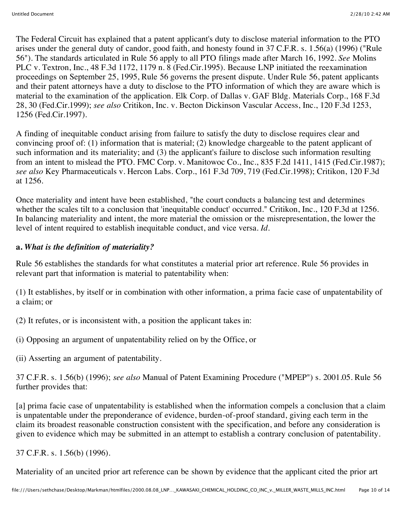The Federal Circuit has explained that a patent applicant's duty to disclose material information to the PTO arises under the general duty of candor, good faith, and honesty found in 37 C.F.R. s. 1.56(a) (1996) ("Rule 56"). The standards articulated in Rule 56 apply to all PTO filings made after March 16, 1992. *See* Molins PLC v. Textron, Inc., 48 F.3d 1172, 1179 n. 8 (Fed.Cir.1995). Because LNP initiated the reexamination proceedings on September 25, 1995, Rule 56 governs the present dispute. Under Rule 56, patent applicants and their patent attorneys have a duty to disclose to the PTO information of which they are aware which is material to the examination of the application. Elk Corp. of Dallas v. GAF Bldg. Materials Corp., 168 F.3d 28, 30 (Fed.Cir.1999); *see also* Critikon, Inc. v. Becton Dickinson Vascular Access, Inc., 120 F.3d 1253, 1256 (Fed.Cir.1997).

A finding of inequitable conduct arising from failure to satisfy the duty to disclose requires clear and convincing proof of: (1) information that is material; (2) knowledge chargeable to the patent applicant of such information and its materiality; and (3) the applicant's failure to disclose such information resulting from an intent to mislead the PTO. FMC Corp. v. Manitowoc Co., Inc., 835 F.2d 1411, 1415 (Fed.Cir.1987); *see also* Key Pharmaceuticals v. Hercon Labs. Corp., 161 F.3d 709, 719 (Fed.Cir.1998); Critikon, 120 F.3d at 1256.

Once materiality and intent have been established, "the court conducts a balancing test and determines whether the scales tilt to a conclusion that 'inequitable conduct' occurred." Critikon, Inc., 120 F.3d at 1256. In balancing materiality and intent, the more material the omission or the misrepresentation, the lower the level of intent required to establish inequitable conduct, and vice versa. *Id.*

## **a.** *What is the definition of materiality?*

Rule 56 establishes the standards for what constitutes a material prior art reference. Rule 56 provides in relevant part that information is material to patentability when:

(1) It establishes, by itself or in combination with other information, a prima facie case of unpatentability of a claim; or

(2) It refutes, or is inconsistent with, a position the applicant takes in:

(i) Opposing an argument of unpatentability relied on by the Office, or

(ii) Asserting an argument of patentability.

37 C.F.R. s. 1.56(b) (1996); *see also* Manual of Patent Examining Procedure ("MPEP") s. 2001.05. Rule 56 further provides that:

[a] prima facie case of unpatentability is established when the information compels a conclusion that a claim is unpatentable under the preponderance of evidence, burden-of-proof standard, giving each term in the claim its broadest reasonable construction consistent with the specification, and before any consideration is given to evidence which may be submitted in an attempt to establish a contrary conclusion of patentability.

37 C.F.R. s. 1.56(b) (1996).

Materiality of an uncited prior art reference can be shown by evidence that the applicant cited the prior art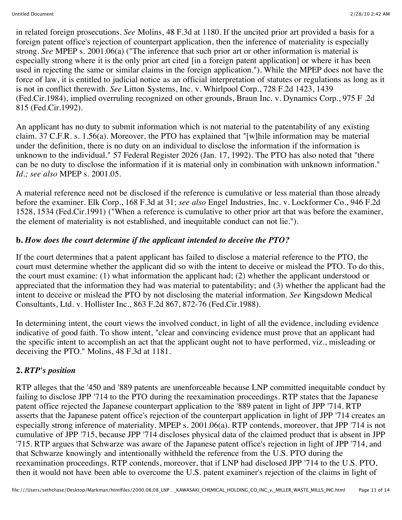in related foreign prosecutions. *See* Molins, 48 F.3d at 1180. If the uncited prior art provided a basis for a foreign patent office's rejection of counterpart application, then the inference of materiality is especially strong. *See* MPEP s. 2001.06(a) ("The inference that such prior art or other information is material is especially strong where it is the only prior art cited [in a foreign patent application] or where it has been used in rejecting the same or similar claims in the foreign application."). While the MPEP does not have the force of law, it is entitled to judicial notice as an official interpretation of statutes or regulations as long as it is not in conflict therewith. *See* Litton Systems, Inc. v. Whirlpool Corp., 728 F.2d 1423, 1439 (Fed.Cir.1984), implied overruling recognized on other grounds, Braun Inc. v. Dynamics Corp., 975 F .2d 815 (Fed.Cir.1992).

An applicant has no duty to submit information which is not material to the patentability of any existing claim. 37 C.F.R. s. 1.56(a). Moreover, the PTO has explained that "[w]hile information may be material under the definition, there is no duty on an individual to disclose the information if the information is unknown to the individual." 57 Federal Register 2026 (Jan. 17, 1992). The PTO has also noted that "there can be no duty to disclose the information if it is material only in combination with unknown information." *Id.; see also* MPEP s. 2001.05.

A material reference need not be disclosed if the reference is cumulative or less material than those already before the examiner. Elk Corp., 168 F.3d at 31; *see also* Engel Industries, Inc. v. Lockformer Co., 946 F.2d 1528, 1534 (Fed.Cir.1991) ("When a reference is cumulative to other prior art that was before the examiner, the element of materiality is not established, and inequitable conduct can not lie.").

## **b.** *How does the court determine if the applicant intended to deceive the PTO?*

If the court determines that a patent applicant has failed to disclose a material reference to the PTO, the court must determine whether the applicant did so with the intent to deceive or mislead the PTO. To do this, the court must examine: (1) what information the applicant had; (2) whether the applicant understood or appreciated that the information they had was material to patentability; and (3) whether the applicant had the intent to deceive or mislead the PTO by not disclosing the material information. *See* Kingsdown Medical Consultants, Ltd. v. Hollister Inc., 863 F.2d 867, 872-76 (Fed.Cir.1988).

In determining intent, the court views the involved conduct, in light of all the evidence, including evidence indicative of good faith. To show intent, "clear and convincing evidence must prove that an applicant had the specific intent to accomplish an act that the applicant ought not to have performed, viz., misleading or deceiving the PTO." Molins, 48 F.3d at 1181.

# **2.** *RTP's position*

RTP alleges that the '450 and '889 patents are unenforceable because LNP committed inequitable conduct by failing to disclose JPP '714 to the PTO during the reexamination proceedings. RTP states that the Japanese patent office rejected the Japanese counterpart application to the '889 patent in light of JPP '714. RTP asserts that the Japanese patent office's rejection of the counterpart application in light of JPP '714 creates an especially strong inference of materiality. MPEP s. 2001.06(a). RTP contends, moreover, that JPP '714 is not cumulative of JPP '715, because JPP '714 discloses physical data of the claimed product that is absent in JPP '715. RTP argues that Schwarze was aware of the Japanese patent office's rejection in light of JPP '714, and that Schwarze knowingly and intentionally withheld the reference from the U.S. PTO during the reexamination proceedings. RTP contends, moreover, that if LNP had disclosed JPP '714 to the U.S. PTO, then it would not have been able to overcome the U.S. patent examiner's rejection of the claims in light of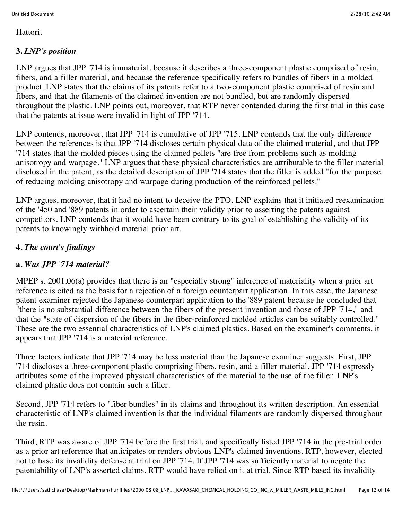Hattori.

## **3.** *LNP's position*

LNP argues that JPP '714 is immaterial, because it describes a three-component plastic comprised of resin, fibers, and a filler material, and because the reference specifically refers to bundles of fibers in a molded product. LNP states that the claims of its patents refer to a two-component plastic comprised of resin and fibers, and that the filaments of the claimed invention are not bundled, but are randomly dispersed throughout the plastic. LNP points out, moreover, that RTP never contended during the first trial in this case that the patents at issue were invalid in light of JPP '714.

LNP contends, moreover, that JPP '714 is cumulative of JPP '715. LNP contends that the only difference between the references is that JPP '714 discloses certain physical data of the claimed material, and that JPP '714 states that the molded pieces using the claimed pellets "are free from problems such as molding anisotropy and warpage." LNP argues that these physical characteristics are attributable to the filler material disclosed in the patent, as the detailed description of JPP '714 states that the filler is added "for the purpose of reducing molding anisotropy and warpage during production of the reinforced pellets."

LNP argues, moreover, that it had no intent to deceive the PTO. LNP explains that it initiated reexamination of the '450 and '889 patents in order to ascertain their validity prior to asserting the patents against competitors. LNP contends that it would have been contrary to its goal of establishing the validity of its patents to knowingly withhold material prior art.

## **4.** *The court's findings*

## **a.** *Was JPP '714 material?*

MPEP s. 2001.06(a) provides that there is an "especially strong" inference of materiality when a prior art reference is cited as the basis for a rejection of a foreign counterpart application. In this case, the Japanese patent examiner rejected the Japanese counterpart application to the '889 patent because he concluded that "there is no substantial difference between the fibers of the present invention and those of JPP '714," and that the "state of dispersion of the fibers in the fiber-reinforced molded articles can be suitably controlled." These are the two essential characteristics of LNP's claimed plastics. Based on the examiner's comments, it appears that JPP '714 is a material reference.

Three factors indicate that JPP '714 may be less material than the Japanese examiner suggests. First, JPP '714 discloses a three-component plastic comprising fibers, resin, and a filler material. JPP '714 expressly attributes some of the improved physical characteristics of the material to the use of the filler. LNP's claimed plastic does not contain such a filler.

Second, JPP '714 refers to "fiber bundles" in its claims and throughout its written description. An essential characteristic of LNP's claimed invention is that the individual filaments are randomly dispersed throughout the resin.

Third, RTP was aware of JPP '714 before the first trial, and specifically listed JPP '714 in the pre-trial order as a prior art reference that anticipates or renders obvious LNP's claimed inventions. RTP, however, elected not to base its invalidity defense at trial on JPP '714. If JPP '714 was sufficiently material to negate the patentability of LNP's asserted claims, RTP would have relied on it at trial. Since RTP based its invalidity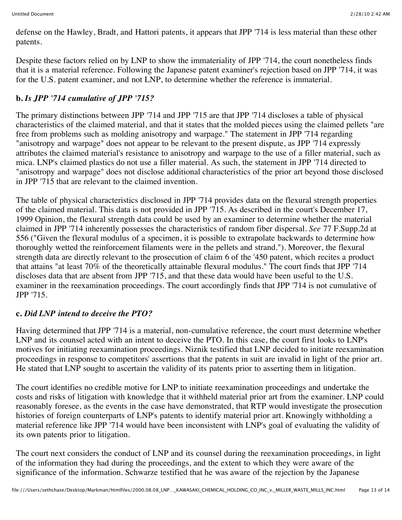defense on the Hawley, Bradt, and Hattori patents, it appears that JPP '714 is less material than these other patents.

Despite these factors relied on by LNP to show the immateriality of JPP '714, the court nonetheless finds that it is a material reference. Following the Japanese patent examiner's rejection based on JPP '714, it was for the U.S. patent examiner, and not LNP, to determine whether the reference is immaterial.

# **b.** *Is JPP '714 cumulative of JPP '715?*

The primary distinctions between JPP '714 and JPP '715 are that JPP '714 discloses a table of physical characteristics of the claimed material, and that it states that the molded pieces using the claimed pellets "are free from problems such as molding anisotropy and warpage." The statement in JPP '714 regarding "anisotropy and warpage" does not appear to be relevant to the present dispute, as JPP '714 expressly attributes the claimed material's resistance to anisotropy and warpage to the use of a filler material, such as mica. LNP's claimed plastics do not use a filler material. As such, the statement in JPP '714 directed to "anisotropy and warpage" does not disclose additional characteristics of the prior art beyond those disclosed in JPP '715 that are relevant to the claimed invention.

The table of physical characteristics disclosed in JPP '714 provides data on the flexural strength properties of the claimed material. This data is not provided in JPP '715. As described in the court's December 17, 1999 Opinion, the flexural strength data could be used by an examiner to determine whether the material claimed in JPP '714 inherently possesses the characteristics of random fiber dispersal. *See* 77 F.Supp.2d at 556 ("Given the flexural modulus of a specimen, it is possible to extrapolate backwards to determine how thoroughly wetted the reinforcement filaments were in the pellets and strand."). Moreover, the flexural strength data are directly relevant to the prosecution of claim 6 of the '450 patent, which recites a product that attains "at least 70% of the theoretically attainable flexural modulus." The court finds that JPP '714 discloses data that are absent from JPP '715, and that these data would have been useful to the U.S. examiner in the reexamination proceedings. The court accordingly finds that JPP '714 is not cumulative of JPP '715.

## **c.** *Did LNP intend to deceive the PTO?*

Having determined that JPP '714 is a material, non-cumulative reference, the court must determine whether LNP and its counsel acted with an intent to deceive the PTO. In this case, the court first looks to LNP's motives for initiating reexamination proceedings. Niznik testified that LNP decided to initiate reexamination proceedings in response to competitors' assertions that the patents in suit are invalid in light of the prior art. He stated that LNP sought to ascertain the validity of its patents prior to asserting them in litigation.

The court identifies no credible motive for LNP to initiate reexamination proceedings and undertake the costs and risks of litigation with knowledge that it withheld material prior art from the examiner. LNP could reasonably foresee, as the events in the case have demonstrated, that RTP would investigate the prosecution histories of foreign counterparts of LNP's patents to identify material prior art. Knowingly withholding a material reference like JPP '714 would have been inconsistent with LNP's goal of evaluating the validity of its own patents prior to litigation.

The court next considers the conduct of LNP and its counsel during the reexamination proceedings, in light of the information they had during the proceedings, and the extent to which they were aware of the significance of the information. Schwarze testified that he was aware of the rejection by the Japanese